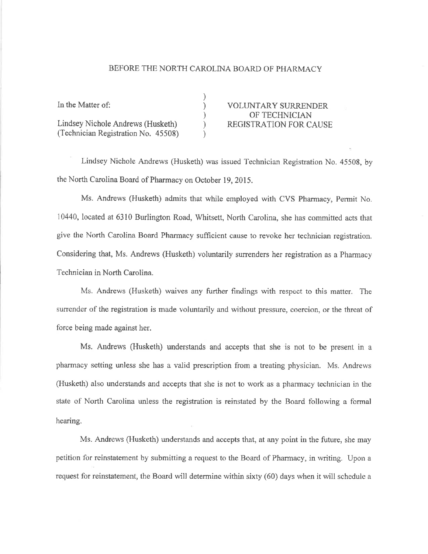## BEFORE THE NORTH CAROLINA BOARD OF PHARMACY

| In the Matter of:                   | <b>VOLUNTARY SURRENDER</b>    |
|-------------------------------------|-------------------------------|
|                                     | OF TECHNICIAN                 |
| Lindsey Nichole Andrews (Husketh)   | <b>REGISTRATION FOR CAUSE</b> |
| (Technician Registration No. 45508) |                               |

Lindsey Nichole Andrews (Husketh) was issued Technician Registration No. 45508, by the North Carolina Board of Pharmacy on October 19, 2015.

Ms. Andrews (Husketh) admits that while employed with CVS Pharmacy, Permit No. 10440, located at 6310 Burlington Road, Whitsett, North Carolina, she has committed acts that give the North Carolina Board Pharmacy sufficient cause to revoke her technician registration. Considering that, Ms. Andrews (Husketh) voluntarily surrenders her registration as a Pharmacy Technician in North Carolina.

Ms. Andrews (Husketh) waives any further findings with respect to this matter. The surrender of the registration is made voluntarily and without pressure, coercion, or the threat of force being made against her.

Ms. Andrews (Husketh) understands and accepts that she is not to be present in <sup>a</sup> pharmacy setting unless she has a valid prescription from a treating physician. Ms. Andrews (Husketh) also understands and accepts that she is not to work as a pharmacy technician in the state of North Carolina unless the registration is reinstated by the Board following a formal hearing.

Ms. Andrews (Husketh) understands and accepts that, at any point in the future, she may petition for reinstatement by submitting a request to the Board of Pharmacy, in writing. Upon a request for reinstatement, the Board will determine within sixty (60) days when it will schedule a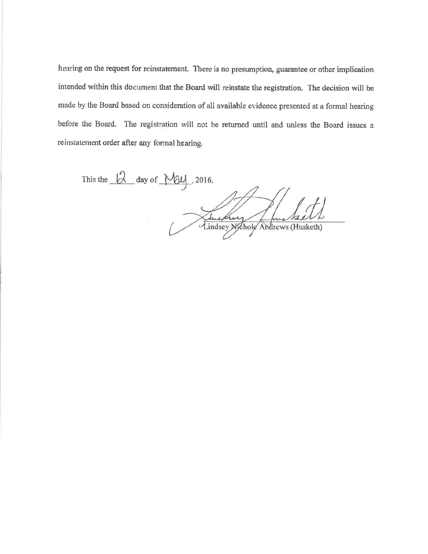hearing on the request for reinstatement. There is no presumption, guarantee or other implication intended within this document that the Board will reinstate the registration. The decision will be made by the Board based on consideration of all available evidence presented at a formal hearing before the Board. The registration will not be returned until and unless the Board issues a reinstatement order after any formal hearing.

This the  $\beta$  day of  $\text{My}$ , 2016. Lindsey Michole Andrews (Husketh)